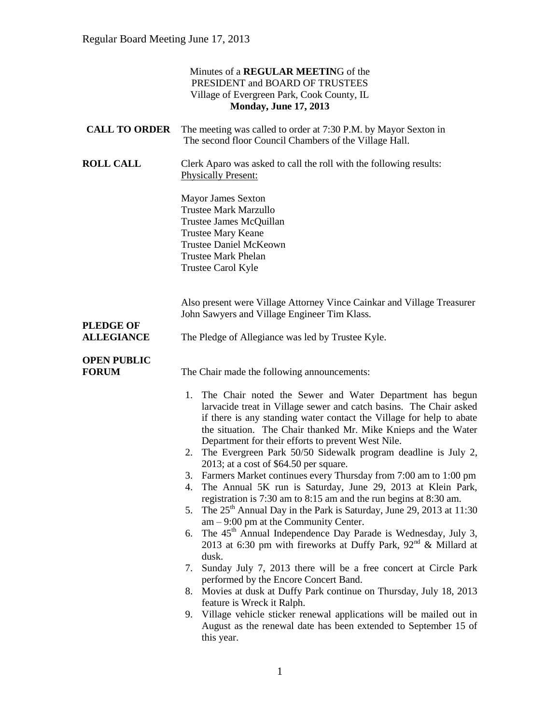|                                    | Minutes of a REGULAR MEETING of the<br>PRESIDENT and BOARD OF TRUSTEES<br>Village of Evergreen Park, Cook County, IL<br><b>Monday, June 17, 2013</b>                                                                                                                                                                                                                                                                                                                                                                                                                                                                                                                                                                                                                                                                                                                                                                                                                                                                                                                                                                                                                                                                                                                                                                                                        |
|------------------------------------|-------------------------------------------------------------------------------------------------------------------------------------------------------------------------------------------------------------------------------------------------------------------------------------------------------------------------------------------------------------------------------------------------------------------------------------------------------------------------------------------------------------------------------------------------------------------------------------------------------------------------------------------------------------------------------------------------------------------------------------------------------------------------------------------------------------------------------------------------------------------------------------------------------------------------------------------------------------------------------------------------------------------------------------------------------------------------------------------------------------------------------------------------------------------------------------------------------------------------------------------------------------------------------------------------------------------------------------------------------------|
| <b>CALL TO ORDER</b>               | The meeting was called to order at 7:30 P.M. by Mayor Sexton in<br>The second floor Council Chambers of the Village Hall.                                                                                                                                                                                                                                                                                                                                                                                                                                                                                                                                                                                                                                                                                                                                                                                                                                                                                                                                                                                                                                                                                                                                                                                                                                   |
| <b>ROLL CALL</b>                   | Clerk Aparo was asked to call the roll with the following results:<br><b>Physically Present:</b>                                                                                                                                                                                                                                                                                                                                                                                                                                                                                                                                                                                                                                                                                                                                                                                                                                                                                                                                                                                                                                                                                                                                                                                                                                                            |
|                                    | <b>Mayor James Sexton</b><br><b>Trustee Mark Marzullo</b><br>Trustee James McQuillan<br><b>Trustee Mary Keane</b><br><b>Trustee Daniel McKeown</b><br><b>Trustee Mark Phelan</b><br>Trustee Carol Kyle                                                                                                                                                                                                                                                                                                                                                                                                                                                                                                                                                                                                                                                                                                                                                                                                                                                                                                                                                                                                                                                                                                                                                      |
| <b>PLEDGE OF</b>                   | Also present were Village Attorney Vince Cainkar and Village Treasurer<br>John Sawyers and Village Engineer Tim Klass.                                                                                                                                                                                                                                                                                                                                                                                                                                                                                                                                                                                                                                                                                                                                                                                                                                                                                                                                                                                                                                                                                                                                                                                                                                      |
| <b>ALLEGIANCE</b>                  | The Pledge of Allegiance was led by Trustee Kyle.                                                                                                                                                                                                                                                                                                                                                                                                                                                                                                                                                                                                                                                                                                                                                                                                                                                                                                                                                                                                                                                                                                                                                                                                                                                                                                           |
| <b>OPEN PUBLIC</b><br><b>FORUM</b> | The Chair made the following announcements:                                                                                                                                                                                                                                                                                                                                                                                                                                                                                                                                                                                                                                                                                                                                                                                                                                                                                                                                                                                                                                                                                                                                                                                                                                                                                                                 |
|                                    | 1. The Chair noted the Sewer and Water Department has begun<br>larvacide treat in Village sewer and catch basins. The Chair asked<br>if there is any standing water contact the Village for help to abate<br>the situation. The Chair thanked Mr. Mike Knieps and the Water<br>Department for their efforts to prevent West Nile.<br>2. The Evergreen Park 50/50 Sidewalk program deadline is July 2,<br>$2013$ ; at a cost of \$64.50 per square.<br>3. Farmers Market continues every Thursday from 7:00 am to 1:00 pm<br>The Annual 5K run is Saturday, June 29, 2013 at Klein Park,<br>4.<br>registration is 7:30 am to 8:15 am and the run begins at 8:30 am.<br>The $25th$ Annual Day in the Park is Saturday, June 29, 2013 at 11:30<br>5.<br>$am - 9:00$ pm at the Community Center.<br>The 45 <sup>th</sup> Annual Independence Day Parade is Wednesday, July 3,<br>6.<br>2013 at 6:30 pm with fireworks at Duffy Park, 92 <sup>nd</sup> & Millard at<br>dusk.<br>Sunday July 7, 2013 there will be a free concert at Circle Park<br>7.<br>performed by the Encore Concert Band.<br>Movies at dusk at Duffy Park continue on Thursday, July 18, 2013<br>8.<br>feature is Wreck it Ralph.<br>9. Village vehicle sticker renewal applications will be mailed out in<br>August as the renewal date has been extended to September 15 of<br>this year. |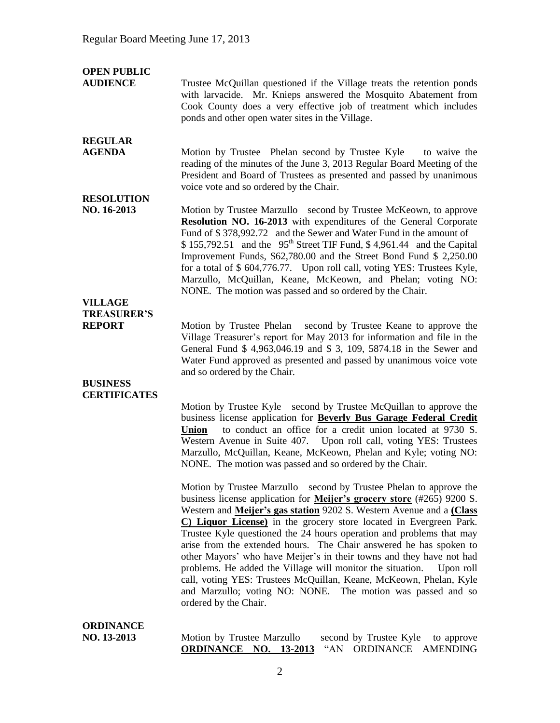| <b>OPEN PUBLIC</b><br><b>AUDIENCE</b> | Trustee McQuillan questioned if the Village treats the retention ponds<br>with larvacide. Mr. Knieps answered the Mosquito Abatement from<br>Cook County does a very effective job of treatment which includes<br>ponds and other open water sites in the Village.                                                                                                                                                                                                                                                                                                                                                                                                                                                                                       |
|---------------------------------------|----------------------------------------------------------------------------------------------------------------------------------------------------------------------------------------------------------------------------------------------------------------------------------------------------------------------------------------------------------------------------------------------------------------------------------------------------------------------------------------------------------------------------------------------------------------------------------------------------------------------------------------------------------------------------------------------------------------------------------------------------------|
| <b>REGULAR</b><br><b>AGENDA</b>       | Motion by Trustee Phelan second by Trustee Kyle<br>to waive the<br>reading of the minutes of the June 3, 2013 Regular Board Meeting of the<br>President and Board of Trustees as presented and passed by unanimous<br>voice vote and so ordered by the Chair.                                                                                                                                                                                                                                                                                                                                                                                                                                                                                            |
| <b>RESOLUTION</b><br>NO. 16-2013      | Motion by Trustee Marzullo second by Trustee McKeown, to approve<br>Resolution NO. 16-2013 with expenditures of the General Corporate<br>Fund of \$378,992.72 and the Sewer and Water Fund in the amount of<br>$$155,792.51$ and the $95th$ Street TIF Fund, \$4,961.44 and the Capital<br>Improvement Funds, \$62,780.00 and the Street Bond Fund \$ 2,250.00<br>for a total of \$ 604,776.77. Upon roll call, voting YES: Trustees Kyle,<br>Marzullo, McQuillan, Keane, McKeown, and Phelan; voting NO:<br>NONE. The motion was passed and so ordered by the Chair.                                                                                                                                                                                    |
| <b>VILLAGE</b>                        |                                                                                                                                                                                                                                                                                                                                                                                                                                                                                                                                                                                                                                                                                                                                                          |
| <b>TREASURER'S</b><br><b>REPORT</b>   | second by Trustee Keane to approve the<br>Motion by Trustee Phelan<br>Village Treasurer's report for May 2013 for information and file in the<br>General Fund \$ 4,963,046.19 and \$ 3, 109, 5874.18 in the Sewer and<br>Water Fund approved as presented and passed by unanimous voice vote                                                                                                                                                                                                                                                                                                                                                                                                                                                             |
| <b>BUSINESS</b>                       | and so ordered by the Chair.                                                                                                                                                                                                                                                                                                                                                                                                                                                                                                                                                                                                                                                                                                                             |
| <b>CERTIFICATES</b>                   |                                                                                                                                                                                                                                                                                                                                                                                                                                                                                                                                                                                                                                                                                                                                                          |
|                                       | Motion by Trustee Kyle second by Trustee McQuillan to approve the<br>business license application for Beverly Bus Garage Federal Credit<br>to conduct an office for a credit union located at 9730 S.<br><b>Union</b><br>Western Avenue in Suite 407. Upon roll call, voting YES: Trustees<br>Marzullo, McQuillan, Keane, McKeown, Phelan and Kyle; voting NO:<br>NONE. The motion was passed and so ordered by the Chair.                                                                                                                                                                                                                                                                                                                               |
|                                       | Motion by Trustee Marzullo second by Trustee Phelan to approve the<br>business license application for Meijer's grocery store (#265) 9200 S.<br>Western and Meijer's gas station 9202 S. Western Avenue and a Class<br>C) Liquor License) in the grocery store located in Evergreen Park.<br>Trustee Kyle questioned the 24 hours operation and problems that may<br>arise from the extended hours. The Chair answered he has spoken to<br>other Mayors' who have Meijer's in their towns and they have not had<br>problems. He added the Village will monitor the situation.<br>Upon roll<br>call, voting YES: Trustees McQuillan, Keane, McKeown, Phelan, Kyle<br>and Marzullo; voting NO: NONE. The motion was passed and so<br>ordered by the Chair. |
| <b>ORDINANCE</b>                      |                                                                                                                                                                                                                                                                                                                                                                                                                                                                                                                                                                                                                                                                                                                                                          |
| NO. 13-2013                           | Motion by Trustee Marzullo<br>second by Trustee Kyle<br>to approve                                                                                                                                                                                                                                                                                                                                                                                                                                                                                                                                                                                                                                                                                       |

**ORDINANCE NO. 13-2013** "AN ORDINANCE AMENDING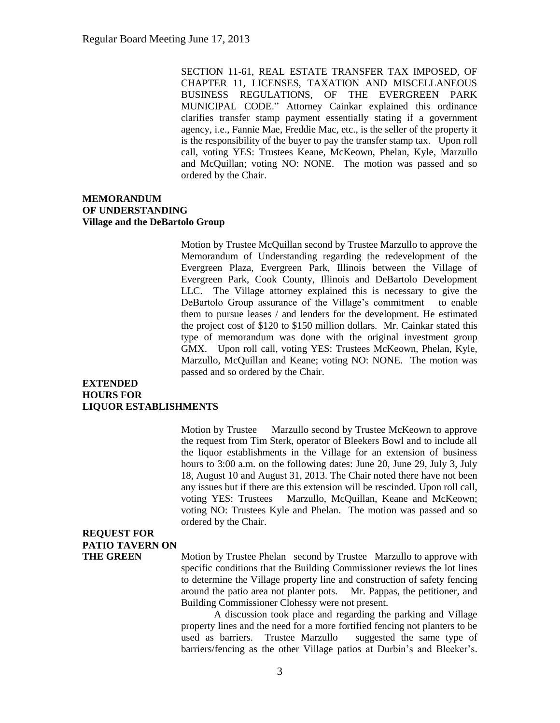SECTION 11-61, REAL ESTATE TRANSFER TAX IMPOSED, OF CHAPTER 11, LICENSES, TAXATION AND MISCELLANEOUS BUSINESS REGULATIONS, OF THE EVERGREEN PARK MUNICIPAL CODE." Attorney Cainkar explained this ordinance clarifies transfer stamp payment essentially stating if a government agency, i.e., Fannie Mae, Freddie Mac, etc., is the seller of the property it is the responsibility of the buyer to pay the transfer stamp tax. Upon roll call, voting YES: Trustees Keane, McKeown, Phelan, Kyle, Marzullo and McQuillan; voting NO: NONE. The motion was passed and so ordered by the Chair.

### **MEMORANDUM OF UNDERSTANDING Village and the DeBartolo Group**

Motion by Trustee McQuillan second by Trustee Marzullo to approve the Memorandum of Understanding regarding the redevelopment of the Evergreen Plaza, Evergreen Park, Illinois between the Village of Evergreen Park, Cook County, Illinois and DeBartolo Development LLC. The Village attorney explained this is necessary to give the DeBartolo Group assurance of the Village's commitment to enable them to pursue leases / and lenders for the development. He estimated the project cost of \$120 to \$150 million dollars. Mr. Cainkar stated this type of memorandum was done with the original investment group GMX. Upon roll call, voting YES: Trustees McKeown, Phelan, Kyle, Marzullo, McQuillan and Keane; voting NO: NONE. The motion was passed and so ordered by the Chair.

### **EXTENDED HOURS FOR LIQUOR ESTABLISHMENTS**

Motion by Trustee Marzullo second by Trustee McKeown to approve the request from Tim Sterk, operator of Bleekers Bowl and to include all the liquor establishments in the Village for an extension of business hours to 3:00 a.m. on the following dates: June 20, June 29, July 3, July 18, August 10 and August 31, 2013. The Chair noted there have not been any issues but if there are this extension will be rescinded. Upon roll call, voting YES: Trustees Marzullo, McQuillan, Keane and McKeown; voting NO: Trustees Kyle and Phelan. The motion was passed and so ordered by the Chair.

## **REQUEST FOR PATIO TAVERN ON**

**THE GREEN** Motion by Trustee Phelan second by Trustee Marzullo to approve with specific conditions that the Building Commissioner reviews the lot lines to determine the Village property line and construction of safety fencing around the patio area not planter pots. Mr. Pappas, the petitioner, and Building Commissioner Clohessy were not present.

> A discussion took place and regarding the parking and Village property lines and the need for a more fortified fencing not planters to be used as barriers. Trustee Marzullo suggested the same type of barriers/fencing as the other Village patios at Durbin's and Bleeker's.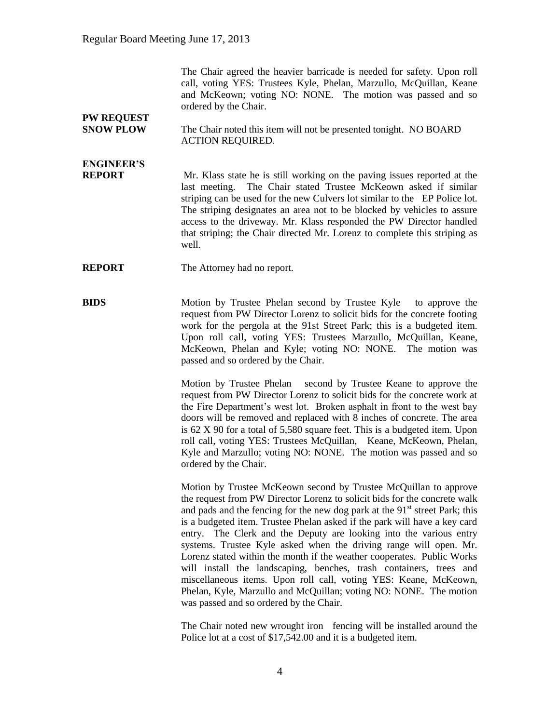The Chair agreed the heavier barricade is needed for safety. Upon roll call, voting YES: Trustees Kyle, Phelan, Marzullo, McQuillan, Keane and McKeown; voting NO: NONE. The motion was passed and so ordered by the Chair.

### **SNOW PLOW** The Chair noted this item will not be presented tonight. NO BOARD ACTION REQUIRED.

# **ENGINEER'S**

**PW REQUEST** 

**REPORT** Mr. Klass state he is still working on the paving issues reported at the last meeting. The Chair stated Trustee McKeown asked if similar striping can be used for the new Culvers lot similar to the EP Police lot. The striping designates an area not to be blocked by vehicles to assure access to the driveway. Mr. Klass responded the PW Director handled that striping; the Chair directed Mr. Lorenz to complete this striping as well.

**REPORT** The Attorney had no report.

**BIDS** Motion by Trustee Phelan second by Trustee Kyle to approve the request from PW Director Lorenz to solicit bids for the concrete footing work for the pergola at the 91st Street Park; this is a budgeted item. Upon roll call, voting YES: Trustees Marzullo, McQuillan, Keane, McKeown, Phelan and Kyle; voting NO: NONE. The motion was passed and so ordered by the Chair.

> Motion by Trustee Phelan second by Trustee Keane to approve the request from PW Director Lorenz to solicit bids for the concrete work at the Fire Department's west lot. Broken asphalt in front to the west bay doors will be removed and replaced with 8 inches of concrete. The area is 62 X 90 for a total of 5,580 square feet. This is a budgeted item. Upon roll call, voting YES: Trustees McQuillan, Keane, McKeown, Phelan, Kyle and Marzullo; voting NO: NONE. The motion was passed and so ordered by the Chair.

> Motion by Trustee McKeown second by Trustee McQuillan to approve the request from PW Director Lorenz to solicit bids for the concrete walk and pads and the fencing for the new dog park at the  $91<sup>st</sup>$  street Park; this is a budgeted item. Trustee Phelan asked if the park will have a key card entry. The Clerk and the Deputy are looking into the various entry systems. Trustee Kyle asked when the driving range will open. Mr. Lorenz stated within the month if the weather cooperates. Public Works will install the landscaping, benches, trash containers, trees and miscellaneous items. Upon roll call, voting YES: Keane, McKeown, Phelan, Kyle, Marzullo and McQuillan; voting NO: NONE. The motion was passed and so ordered by the Chair.

> The Chair noted new wrought iron fencing will be installed around the Police lot at a cost of \$17,542.00 and it is a budgeted item.